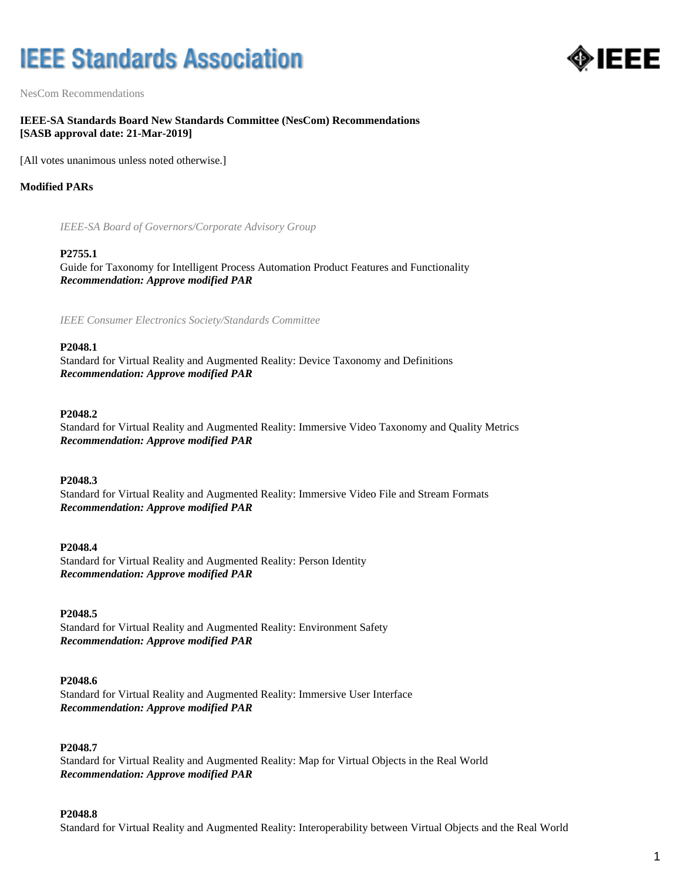# **IEEE Standards Association**



NesCom Recommendations

## **IEEE-SA Standards Board New Standards Committee (NesCom) Recommendations [SASB approval date: 21-Mar-2019]**

[All votes unanimous unless noted otherwise.]

## **Modified PARs**

*IEEE-SA Board of Governors/Corporate Advisory Group*

#### **P2755.1**

Guide for Taxonomy for Intelligent Process Automation Product Features and Functionality *Recommendation: Approve modified PAR*

*IEEE Consumer Electronics Society/Standards Committee*

#### **P2048.1**

Standard for Virtual Reality and Augmented Reality: Device Taxonomy and Definitions *Recommendation: Approve modified PAR*

#### **P2048.2**

Standard for Virtual Reality and Augmented Reality: Immersive Video Taxonomy and Quality Metrics *Recommendation: Approve modified PAR*

#### **P2048.3**

Standard for Virtual Reality and Augmented Reality: Immersive Video File and Stream Formats *Recommendation: Approve modified PAR*

#### **P2048.4**

Standard for Virtual Reality and Augmented Reality: Person Identity *Recommendation: Approve modified PAR*

#### **P2048.5**

Standard for Virtual Reality and Augmented Reality: Environment Safety *Recommendation: Approve modified PAR*

#### **P2048.6**

Standard for Virtual Reality and Augmented Reality: Immersive User Interface *Recommendation: Approve modified PAR*

#### **P2048.7**

Standard for Virtual Reality and Augmented Reality: Map for Virtual Objects in the Real World *Recommendation: Approve modified PAR*

#### **P2048.8**

Standard for Virtual Reality and Augmented Reality: Interoperability between Virtual Objects and the Real World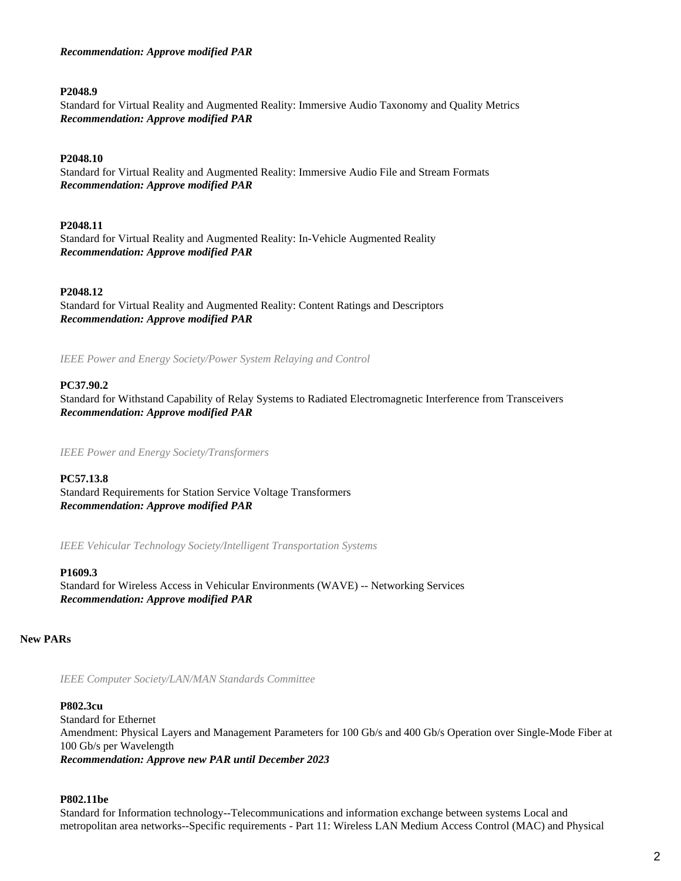*Recommendation: Approve modified PAR*

## **P2048.9**

Standard for Virtual Reality and Augmented Reality: Immersive Audio Taxonomy and Quality Metrics *Recommendation: Approve modified PAR*

## **P2048.10**

Standard for Virtual Reality and Augmented Reality: Immersive Audio File and Stream Formats *Recommendation: Approve modified PAR*

## **P2048.11**

Standard for Virtual Reality and Augmented Reality: In-Vehicle Augmented Reality *Recommendation: Approve modified PAR*

## **P2048.12**

Standard for Virtual Reality and Augmented Reality: Content Ratings and Descriptors *Recommendation: Approve modified PAR*

*IEEE Power and Energy Society/Power System Relaying and Control*

## **PC37.90.2**

Standard for Withstand Capability of Relay Systems to Radiated Electromagnetic Interference from Transceivers *Recommendation: Approve modified PAR*

*IEEE Power and Energy Society/Transformers*

**PC57.13.8**

Standard Requirements for Station Service Voltage Transformers *Recommendation: Approve modified PAR*

*IEEE Vehicular Technology Society/Intelligent Transportation Systems*

## **P1609.3**

Standard for Wireless Access in Vehicular Environments (WAVE) -- Networking Services *Recommendation: Approve modified PAR*

#### **New PARs**

*IEEE Computer Society/LAN/MAN Standards Committee*

#### **P802.3cu**

Standard for Ethernet Amendment: Physical Layers and Management Parameters for 100 Gb/s and 400 Gb/s Operation over Single-Mode Fiber at 100 Gb/s per Wavelength *Recommendation: Approve new PAR until December 2023*

#### **P802.11be**

Standard for Information technology--Telecommunications and information exchange between systems Local and metropolitan area networks--Specific requirements - Part 11: Wireless LAN Medium Access Control (MAC) and Physical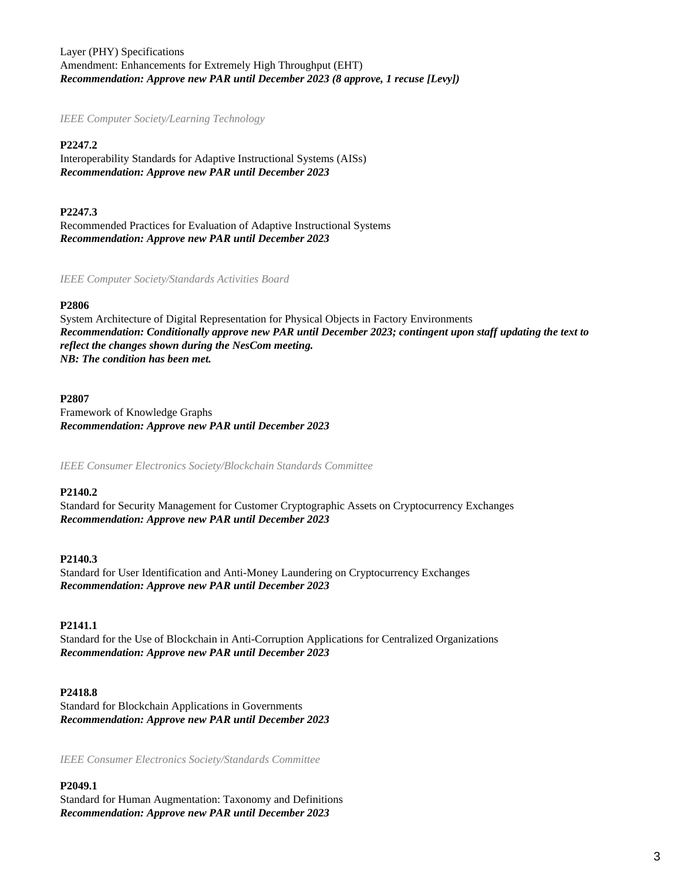Layer (PHY) Specifications Amendment: Enhancements for Extremely High Throughput (EHT) *Recommendation: Approve new PAR until December 2023 (8 approve, 1 recuse [Levy])*

*IEEE Computer Society/Learning Technology*

## **P2247.2**

Interoperability Standards for Adaptive Instructional Systems (AISs) *Recommendation: Approve new PAR until December 2023*

#### **P2247.3**

Recommended Practices for Evaluation of Adaptive Instructional Systems *Recommendation: Approve new PAR until December 2023*

#### *IEEE Computer Society/Standards Activities Board*

#### **P2806**

System Architecture of Digital Representation for Physical Objects in Factory Environments *Recommendation: Conditionally approve new PAR until December 2023; contingent upon staff updating the text to reflect the changes shown during the NesCom meeting. NB: The condition has been met.*

#### **P2807**

Framework of Knowledge Graphs *Recommendation: Approve new PAR until December 2023*

*IEEE Consumer Electronics Society/Blockchain Standards Committee*

#### **P2140.2**

Standard for Security Management for Customer Cryptographic Assets on Cryptocurrency Exchanges *Recommendation: Approve new PAR until December 2023*

#### **P2140.3**

Standard for User Identification and Anti-Money Laundering on Cryptocurrency Exchanges *Recommendation: Approve new PAR until December 2023*

## **P2141.1**

Standard for the Use of Blockchain in Anti-Corruption Applications for Centralized Organizations *Recommendation: Approve new PAR until December 2023*

#### **P2418.8**

Standard for Blockchain Applications in Governments *Recommendation: Approve new PAR until December 2023*

*IEEE Consumer Electronics Society/Standards Committee*

#### **P2049.1**

Standard for Human Augmentation: Taxonomy and Definitions *Recommendation: Approve new PAR until December 2023*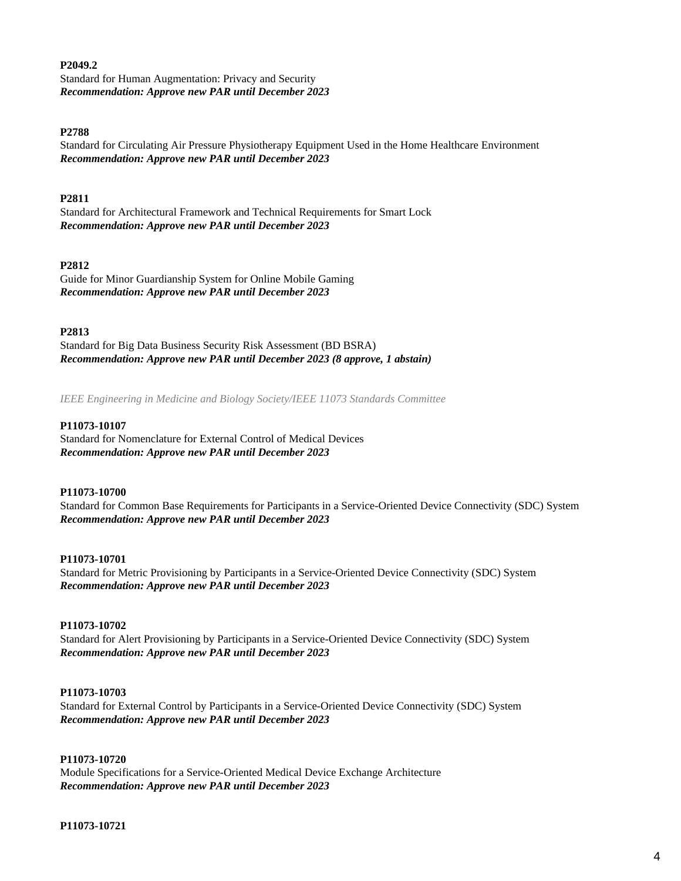## **P2049.2**

Standard for Human Augmentation: Privacy and Security *Recommendation: Approve new PAR until December 2023*

#### **P2788**

Standard for Circulating Air Pressure Physiotherapy Equipment Used in the Home Healthcare Environment *Recommendation: Approve new PAR until December 2023*

## **P2811**

Standard for Architectural Framework and Technical Requirements for Smart Lock *Recommendation: Approve new PAR until December 2023*

## **P2812**

Guide for Minor Guardianship System for Online Mobile Gaming *Recommendation: Approve new PAR until December 2023*

## **P2813**

Standard for Big Data Business Security Risk Assessment (BD BSRA) *Recommendation: Approve new PAR until December 2023 (8 approve, 1 abstain)*

*IEEE Engineering in Medicine and Biology Society/IEEE 11073 Standards Committee*

#### **P11073-10107**

Standard for Nomenclature for External Control of Medical Devices *Recommendation: Approve new PAR until December 2023*

#### **P11073-10700**

Standard for Common Base Requirements for Participants in a Service-Oriented Device Connectivity (SDC) System *Recommendation: Approve new PAR until December 2023*

#### **P11073-10701**

Standard for Metric Provisioning by Participants in a Service-Oriented Device Connectivity (SDC) System *Recommendation: Approve new PAR until December 2023*

#### **P11073-10702**

Standard for Alert Provisioning by Participants in a Service-Oriented Device Connectivity (SDC) System *Recommendation: Approve new PAR until December 2023*

#### **P11073-10703**

Standard for External Control by Participants in a Service-Oriented Device Connectivity (SDC) System *Recommendation: Approve new PAR until December 2023*

## **P11073-10720**

Module Specifications for a Service-Oriented Medical Device Exchange Architecture *Recommendation: Approve new PAR until December 2023*

#### **P11073-10721**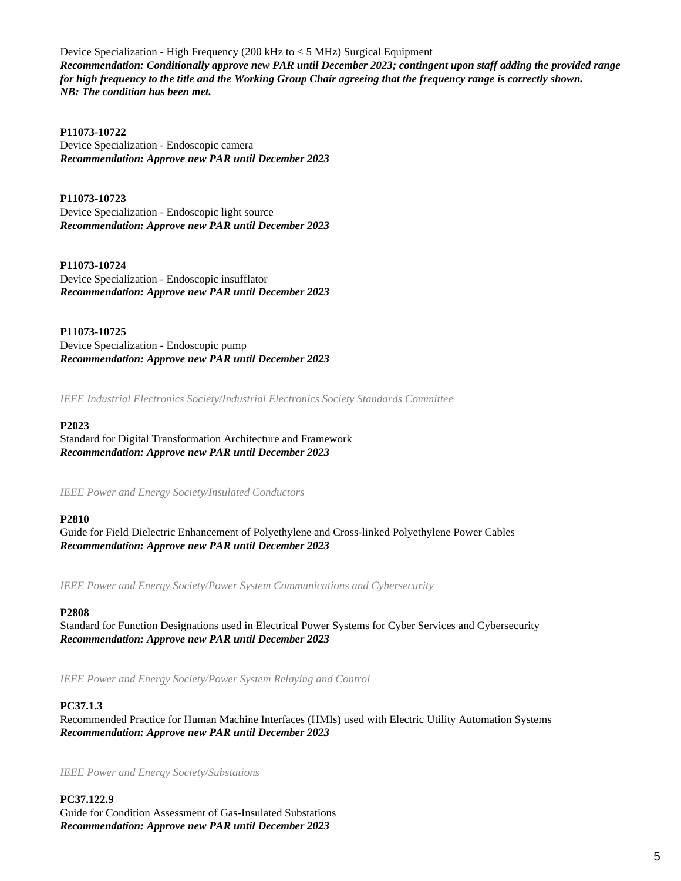Device Specialization - High Frequency (200 kHz to < 5 MHz) Surgical Equipment *Recommendation: Conditionally approve new PAR until December 2023; contingent upon staff adding the provided range for high frequency to the title and the Working Group Chair agreeing that the frequency range is correctly shown. NB: The condition has been met.*

# **P11073-10722**

Device Specialization - Endoscopic camera *Recommendation: Approve new PAR until December 2023*

**P11073-10723** Device Specialization - Endoscopic light source *Recommendation: Approve new PAR until December 2023*

**P11073-10724** Device Specialization - Endoscopic insufflator *Recommendation: Approve new PAR until December 2023*

**P11073-10725** Device Specialization - Endoscopic pump

*Recommendation: Approve new PAR until December 2023*

*IEEE Industrial Electronics Society/Industrial Electronics Society Standards Committee*

# **P2023**

Standard for Digital Transformation Architecture and Framework *Recommendation: Approve new PAR until December 2023*

*IEEE Power and Energy Society/Insulated Conductors*

# **P2810**

Guide for Field Dielectric Enhancement of Polyethylene and Cross-linked Polyethylene Power Cables *Recommendation: Approve new PAR until December 2023*

*IEEE Power and Energy Society/Power System Communications and Cybersecurity*

## **P2808**

Standard for Function Designations used in Electrical Power Systems for Cyber Services and Cybersecurity *Recommendation: Approve new PAR until December 2023*

*IEEE Power and Energy Society/Power System Relaying and Control*

## **PC37.1.3**

Recommended Practice for Human Machine Interfaces (HMIs) used with Electric Utility Automation Systems *Recommendation: Approve new PAR until December 2023*

*IEEE Power and Energy Society/Substations*

**PC37.122.9** Guide for Condition Assessment of Gas-Insulated Substations *Recommendation: Approve new PAR until December 2023*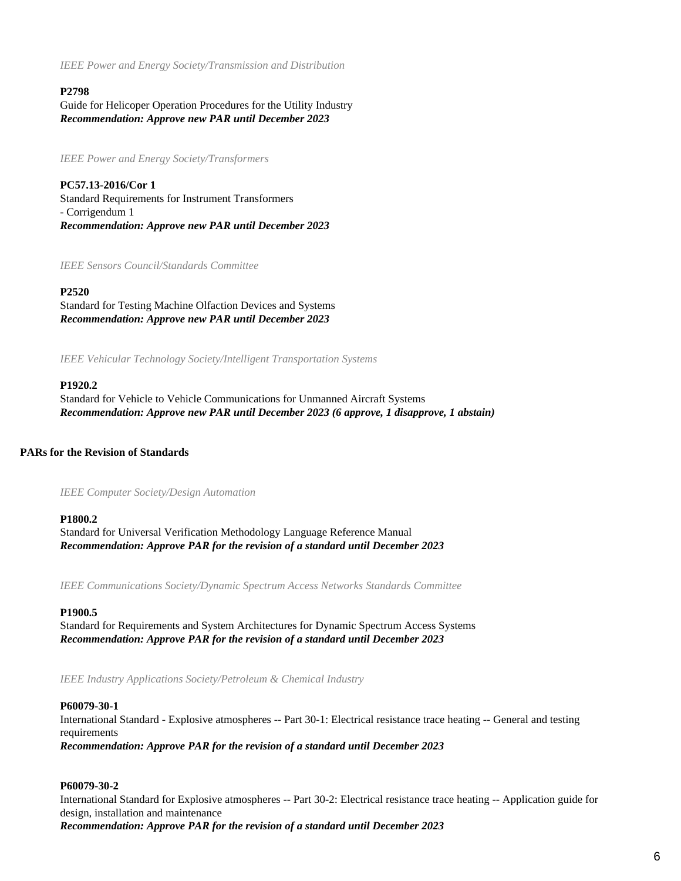*IEEE Power and Energy Society/Transmission and Distribution*

## **P2798**

Guide for Helicoper Operation Procedures for the Utility Industry *Recommendation: Approve new PAR until December 2023*

*IEEE Power and Energy Society/Transformers*

**PC57.13-2016/Cor 1** Standard Requirements for Instrument Transformers - Corrigendum 1 *Recommendation: Approve new PAR until December 2023*

*IEEE Sensors Council/Standards Committee*

#### **P2520**

Standard for Testing Machine Olfaction Devices and Systems *Recommendation: Approve new PAR until December 2023*

*IEEE Vehicular Technology Society/Intelligent Transportation Systems*

## **P1920.2**

Standard for Vehicle to Vehicle Communications for Unmanned Aircraft Systems *Recommendation: Approve new PAR until December 2023 (6 approve, 1 disapprove, 1 abstain)*

## **PARs for the Revision of Standards**

*IEEE Computer Society/Design Automation*

#### **P1800.2**

Standard for Universal Verification Methodology Language Reference Manual *Recommendation: Approve PAR for the revision of a standard until December 2023*

*IEEE Communications Society/Dynamic Spectrum Access Networks Standards Committee*

#### **P1900.5**

Standard for Requirements and System Architectures for Dynamic Spectrum Access Systems *Recommendation: Approve PAR for the revision of a standard until December 2023*

*IEEE Industry Applications Society/Petroleum & Chemical Industry*

#### **P60079-30-1**

International Standard - Explosive atmospheres -- Part 30-1: Electrical resistance trace heating -- General and testing requirements *Recommendation: Approve PAR for the revision of a standard until December 2023*

#### **P60079-30-2**

International Standard for Explosive atmospheres -- Part 30-2: Electrical resistance trace heating -- Application guide for design, installation and maintenance

*Recommendation: Approve PAR for the revision of a standard until December 2023*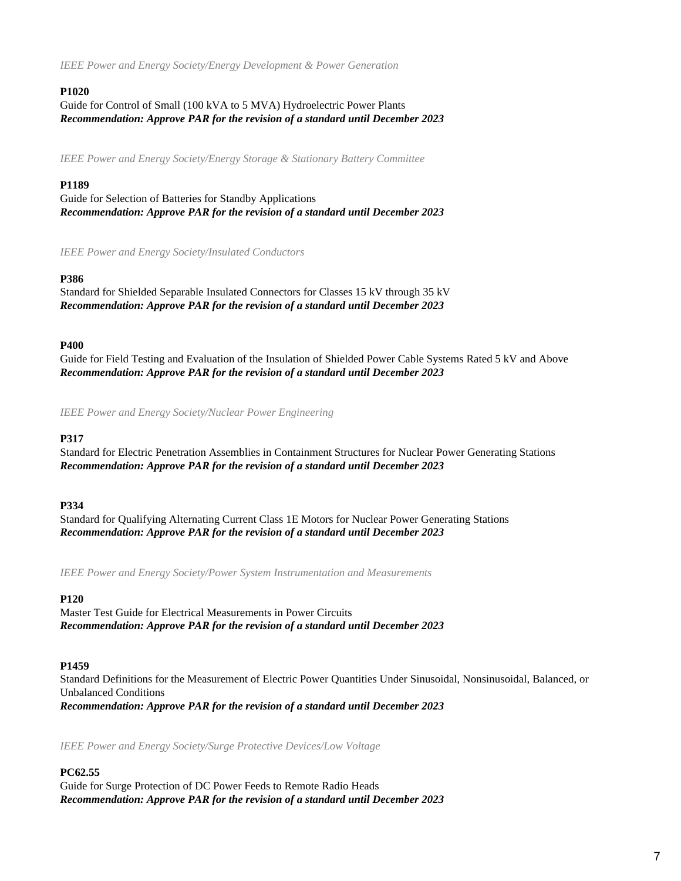*IEEE Power and Energy Society/Energy Development & Power Generation*

# **P1020**

Guide for Control of Small (100 kVA to 5 MVA) Hydroelectric Power Plants *Recommendation: Approve PAR for the revision of a standard until December 2023*

*IEEE Power and Energy Society/Energy Storage & Stationary Battery Committee*

# **P1189**

Guide for Selection of Batteries for Standby Applications *Recommendation: Approve PAR for the revision of a standard until December 2023*

*IEEE Power and Energy Society/Insulated Conductors*

## **P386**

Standard for Shielded Separable Insulated Connectors for Classes 15 kV through 35 kV *Recommendation: Approve PAR for the revision of a standard until December 2023*

## **P400**

Guide for Field Testing and Evaluation of the Insulation of Shielded Power Cable Systems Rated 5 kV and Above *Recommendation: Approve PAR for the revision of a standard until December 2023*

*IEEE Power and Energy Society/Nuclear Power Engineering*

## **P317**

Standard for Electric Penetration Assemblies in Containment Structures for Nuclear Power Generating Stations *Recommendation: Approve PAR for the revision of a standard until December 2023*

## **P334**

Standard for Qualifying Alternating Current Class 1E Motors for Nuclear Power Generating Stations *Recommendation: Approve PAR for the revision of a standard until December 2023*

*IEEE Power and Energy Society/Power System Instrumentation and Measurements*

## **P120**

Master Test Guide for Electrical Measurements in Power Circuits *Recommendation: Approve PAR for the revision of a standard until December 2023*

## **P1459**

Standard Definitions for the Measurement of Electric Power Quantities Under Sinusoidal, Nonsinusoidal, Balanced, or Unbalanced Conditions *Recommendation: Approve PAR for the revision of a standard until December 2023*

*IEEE Power and Energy Society/Surge Protective Devices/Low Voltage*

# **PC62.55**

Guide for Surge Protection of DC Power Feeds to Remote Radio Heads *Recommendation: Approve PAR for the revision of a standard until December 2023*